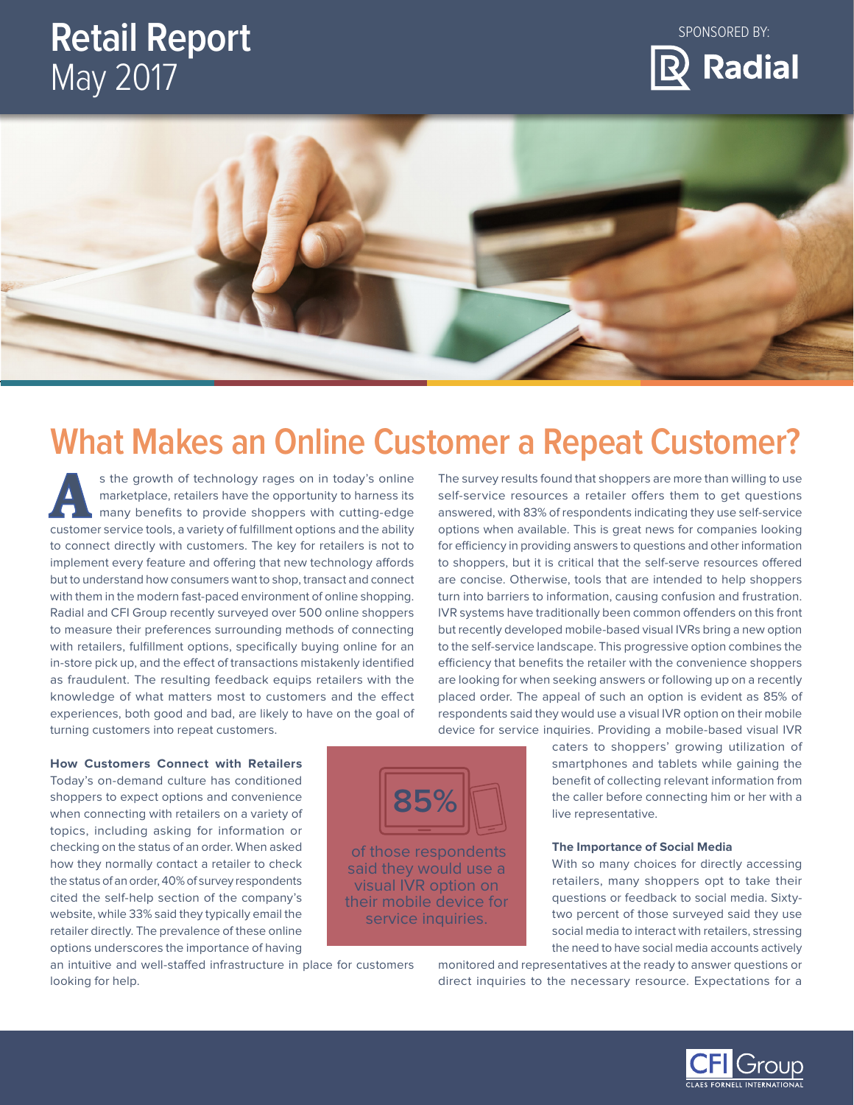# **Retail Report**  May 2017

SPONSORED BY:





# **What Makes an Online Customer a Repeat Customer?**

of those respondents said they would use a visual IVR option on their mobile device for service inquiries.

**85%**

 with them in the modern fast-paced environment of online shopping. as fraudulent. The resulting feedback equips retailers with the s the growth of technology rages on in today's online<br>
marketplace, retailers have the opportunity to harness its<br>
many benefits to provide shoppers with cutting-edge<br>
sustance son in today's online<br>
many benefits to provi marketplace, retailers have the opportunity to harness its customer service tools, a variety of fulfillment options and the ability to connect directly with customers. The key for retailers is not to implement every feature and offering that new technology affords but to understand how consumers want to shop, transact and connect Radial and CFI Group recently surveyed over 500 online shoppers to measure their preferences surrounding methods of connecting with retailers, fulfillment options, specifically buying online for an in-store pick up, and the effect of transactions mistakenly identified knowledge of what matters most to customers and the effect experiences, both good and bad, are likely to have on the goal of turning customers into repeat customers.

**How Customers Connect with Retailers**  Today's on-demand culture has conditioned shoppers to expect options and convenience when connecting with retailers on a variety of topics, including asking for information or checking on the status of an order. When asked how they normally contact a retailer to check the status of an order, 40% of survey respondents cited the self-help section of the company's website, while 33% said they typically email the retailer directly. The prevalence of these online The survey results found that shoppers are more than willing to use self-service resources a retailer offers them to get questions answered, with 83% of respondents indicating they use self-service options when available. This is great news for companies looking for efficiency in providing answers to questions and other information to shoppers, but it is critical that the self-serve resources offered are concise. Otherwise, tools that are intended to help shoppers turn into barriers to information, causing confusion and frustration. IVR systems have traditionally been common offenders on this front but recently developed mobile-based visual IVRs bring a new option to the self-service landscape. This progressive option combines the efficiency that benefits the retailer with the convenience shoppers are looking for when seeking answers or following up on a recently placed order. The appeal of such an option is evident as 85% of respondents said they would use a visual IVR option on their mobile device for service inquiries. Providing a mobile-based visual IVR

caters to shoppers' growing utilization of smartphones and tablets while gaining the benefit of collecting relevant information from the caller before connecting him or her with a live representative.

### **The Importance of Social Media**

 retailers, many shoppers opt to take their With so many choices for directly accessing questions or feedback to social media. Sixtytwo percent of those surveyed said they use social media to interact with retailers, stressing the need to have social media accounts actively

options underscores the importance of having an intuitive and well-staffed infrastructure in place for customers looking for help.

 monitored and representatives at the ready to answer questions or direct inquiries to the necessary resource. Expectations for a